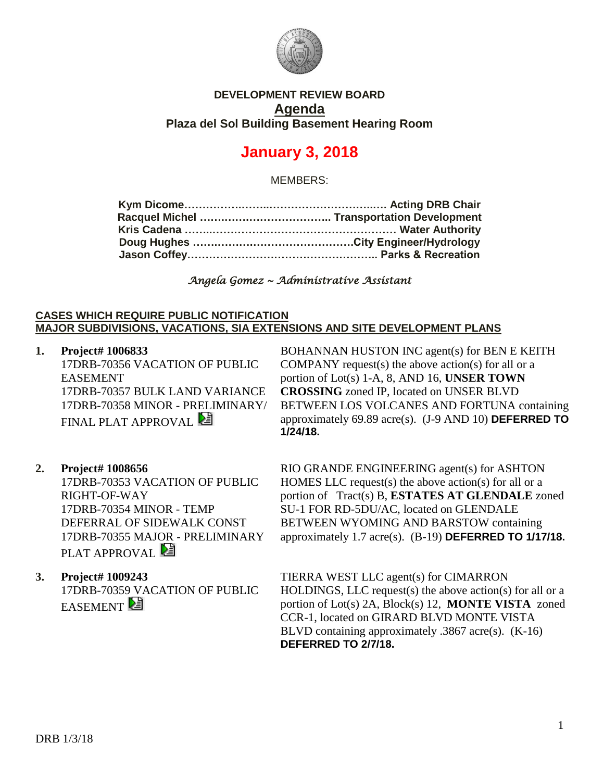

## **DEVELOPMENT REVIEW BOARD Agenda Plaza del Sol Building Basement Hearing Room**

# **January 3, 2018**

MEMBERS:

*Angela Gomez ~ Administrative Assistant* 

#### **CASES WHICH REQUIRE PUBLIC NOTIFICATION MAJOR SUBDIVISIONS, VACATIONS, SIA EXTENSIONS AND SITE DEVELOPMENT PLANS**

**1. Project# 1006833** 17DRB-70356 VACATION OF PUBLIC EASEMENT 17DRB-70357 BULK LAND VARIANCE 17DRB-70358 MINOR - PRELIMINARY/ **FINAL PLAT APPROVAL** 

BOHANNAN HUSTON INC agent(s) for BEN E KEITH COMPANY request(s) the above action(s) for all or a portion of Lot(s) 1-A, 8, AND 16, **UNSER TOWN CROSSING** zoned IP, located on UNSER BLVD BETWEEN LOS VOLCANES AND FORTUNA containing approximately 69.89 acre(s). (J-9 AND 10) **DEFERRED TO 1/24/18.**

### **2. Project# 1008656**

17DRB-70353 VACATION OF PUBLIC RIGHT-OF-WAY 17DRB-70354 MINOR - TEMP DEFERRAL OF SIDEWALK CONST 17DRB-70355 MAJOR - PRELIMINARY PLAT APPROVAL<sup>2</sup>

# **3. Project# 1009243** 17DRB-70359 VACATION OF PUBLIC **EASEMENT**

RIO GRANDE ENGINEERING agent(s) for ASHTON HOMES LLC request(s) the above action(s) for all or a portion of Tract(s) B, **ESTATES AT GLENDALE** zoned SU-1 FOR RD-5DU/AC, located on GLENDALE BETWEEN WYOMING AND BARSTOW containing approximately 1.7 acre(s). (B-19) **DEFERRED TO 1/17/18.**

TIERRA WEST LLC agent(s) for CIMARRON HOLDINGS, LLC request(s) the above action(s) for all or a portion of Lot(s) 2A, Block(s) 12, **MONTE VISTA** zoned CCR-1, located on GIRARD BLVD MONTE VISTA BLVD containing approximately .3867 acre(s). (K-16) **DEFERRED TO 2/7/18.**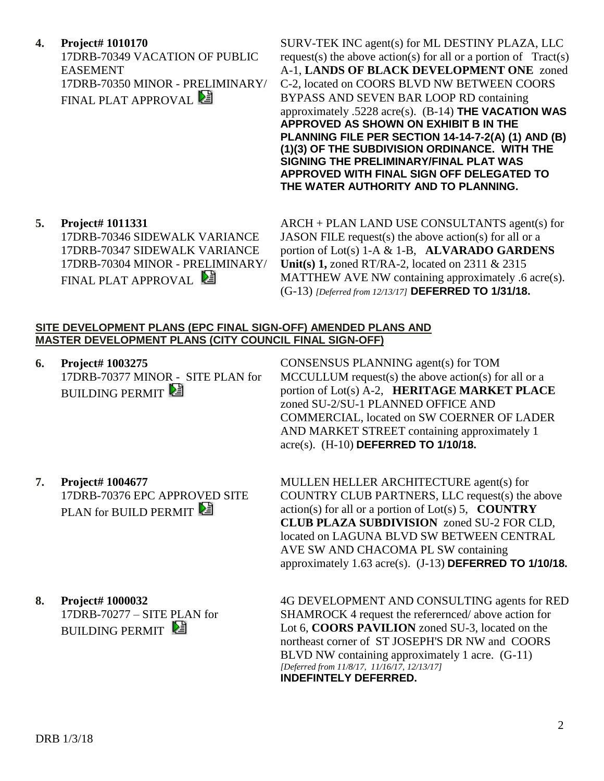**4. Project# 1010170**

17DRB-70349 VACATION OF PUBLIC EASEMENT 17DRB-70350 MINOR - PRELIMINARY/ FINAL PLAT APPROVAL

SURV-TEK INC agent(s) for ML DESTINY PLAZA, LLC request(s) the above action(s) for all or a portion of  $Tract(s)$ A-1, **LANDS OF BLACK DEVELOPMENT ONE** zoned C-2, located on COORS BLVD NW BETWEEN COORS BYPASS AND SEVEN BAR LOOP RD containing approximately .5228 acre(s). (B-14) **THE VACATION WAS APPROVED AS SHOWN ON EXHIBIT B IN THE PLANNING FILE PER SECTION 14-14-7-2(A) (1) AND (B) (1)(3) OF THE SUBDIVISION ORDINANCE. WITH THE SIGNING THE PRELIMINARY/FINAL PLAT WAS APPROVED WITH FINAL SIGN OFF DELEGATED TO THE WATER AUTHORITY AND TO PLANNING.**

**5. Project# 1011331** 17DRB-70346 SIDEWALK VARIANCE 17DRB-70347 SIDEWALK VARIANCE 17DRB-70304 MINOR - PRELIMINARY/ FINAL PLAT APPROVAL

ARCH + PLAN LAND USE CONSULTANTS agent(s) for JASON FILE request(s) the above action(s) for all or a portion of Lot(s) 1-A & 1-B, **ALVARADO GARDENS Unit(s) 1,** zoned RT/RA-2, located on 2311 & 2315 MATTHEW AVE NW containing approximately .6 acre(s). (G-13) *[Deferred from 12/13/17]* **DEFERRED TO 1/31/18.**

#### **SITE DEVELOPMENT PLANS (EPC FINAL SIGN-OFF) AMENDED PLANS AND MASTER DEVELOPMENT PLANS (CITY COUNCIL FINAL SIGN-OFF)**

**6. Project# 1003275** 17DRB-70377 MINOR - SITE PLAN for **BUILDING PERMIT** 

CONSENSUS PLANNING agent(s) for TOM MCCULLUM request(s) the above action(s) for all or a portion of Lot(s) A-2, **HERITAGE MARKET PLACE** zoned SU-2/SU-1 PLANNED OFFICE AND COMMERCIAL, located on SW COERNER OF LADER AND MARKET STREET containing approximately 1 acre(s). (H-10) **DEFERRED TO 1/10/18.**

**7. Project# 1004677** 17DRB-70376 EPC APPROVED SITE PLAN for BUILD PERMIT

MULLEN HELLER ARCHITECTURE agent(s) for COUNTRY CLUB PARTNERS, LLC request(s) the above action(s) for all or a portion of Lot(s) 5, **COUNTRY CLUB PLAZA SUBDIVISION** zoned SU-2 FOR CLD, located on LAGUNA BLVD SW BETWEEN CENTRAL AVE SW AND CHACOMA PL SW containing approximately 1.63 acre(s). (J-13) **DEFERRED TO 1/10/18.**

**8. Project# 1000032** 17DRB-70277 – SITE PLAN for **BUILDING PERMIT** 4G DEVELOPMENT AND CONSULTING agents for RED SHAMROCK 4 request the referernced/ above action for Lot 6, **COORS PAVILION** zoned SU-3, located on the northeast corner of ST JOSEPH'S DR NW and COORS BLVD NW containing approximately 1 acre. (G-11) *[Deferred from 11/8/17, 11/16/17, 12/13/17]* **INDEFINTELY DEFERRED.**